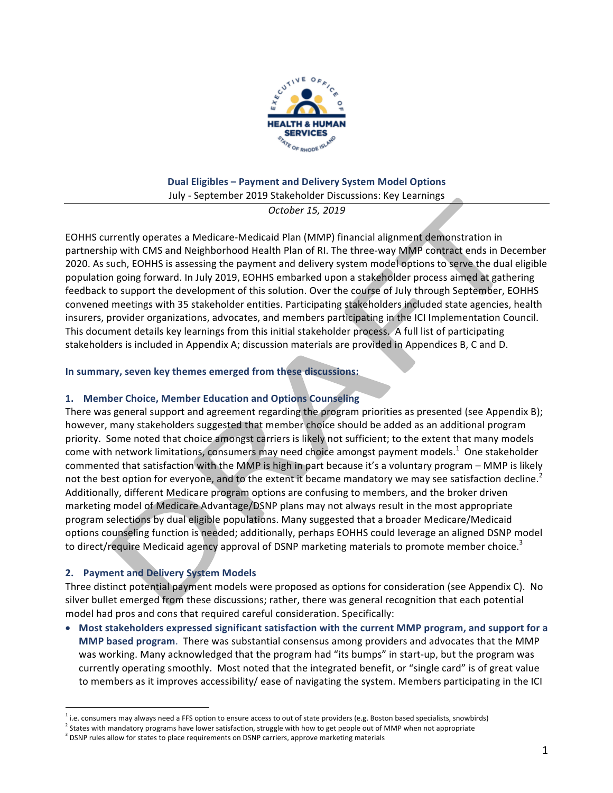

### **Dual Eligibles - Payment and Delivery System Model Options** July - September 2019 Stakeholder Discussions: Key Learnings

*October 15, 2019*

EOHHS currently operates a Medicare-Medicaid Plan (MMP) financial alignment demonstration in partnership with CMS and Neighborhood Health Plan of RI. The three-way MMP contract ends in December 2020. As such, EOHHS is assessing the payment and delivery system model options to serve the dual eligible population going forward. In July 2019, EOHHS embarked upon a stakeholder process aimed at gathering feedback to support the development of this solution. Over the course of July through September, EOHHS convened meetings with 35 stakeholder entities. Participating stakeholders included state agencies, health insurers, provider organizations, advocates, and members participating in the ICI Implementation Council. This document details key learnings from this initial stakeholder process. A full list of participating stakeholders is included in Appendix A; discussion materials are provided in Appendices B, C and D.

#### In summary, seven key themes emerged from these discussions:

# 1. Member Choice, Member Education and Options Counseling

There was general support and agreement regarding the program priorities as presented (see Appendix B); however, many stakeholders suggested that member choice should be added as an additional program priority. Some noted that choice amongst carriers is likely not sufficient; to the extent that many models come with network limitations, consumers may need choice amongst payment models.<sup>1</sup> One stakeholder commented that satisfaction with the MMP is high in part because it's a voluntary program – MMP is likely not the best option for everyone, and to the extent it became mandatory we may see satisfaction decline.<sup>2</sup> Additionally, different Medicare program options are confusing to members, and the broker driven marketing model of Medicare Advantage/DSNP plans may not always result in the most appropriate program selections by dual eligible populations. Many suggested that a broader Medicare/Medicaid options counseling function is needed; additionally, perhaps EOHHS could leverage an aligned DSNP model to direct/require Medicaid agency approval of DSNP marketing materials to promote member choice.<sup>3</sup>

# **2.** Payment and Delivery System Models

 

Three distinct potential payment models were proposed as options for consideration (see Appendix C). No silver bullet emerged from these discussions; rather, there was general recognition that each potential model had pros and cons that required careful consideration. Specifically:

• Most stakeholders expressed significant satisfaction with the current MMP program, and support for a **MMP** based program. There was substantial consensus among providers and advocates that the MMP was working. Many acknowledged that the program had "its bumps" in start-up, but the program was currently operating smoothly. Most noted that the integrated benefit, or "single card" is of great value to members as it improves accessibility/ ease of navigating the system. Members participating in the ICI

 $^1$  i.e. consumers may always need a FFS option to ensure access to out of state providers (e.g. Boston based specialists, snowbirds)

 $^2$  States with mandatory programs have lower satisfaction, struggle with how to get people out of MMP when not appropriate

 $3$  DSNP rules allow for states to place requirements on DSNP carriers, approve marketing materials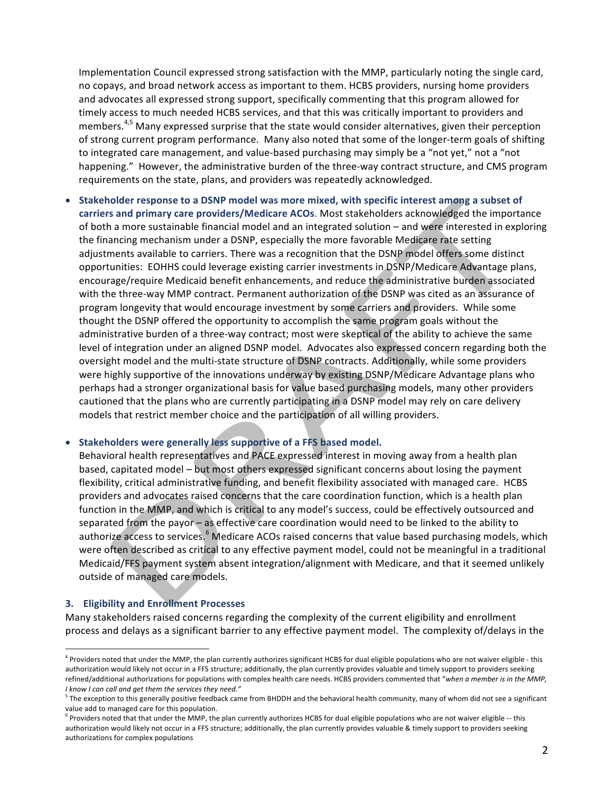Implementation Council expressed strong satisfaction with the MMP, particularly noting the single card, no copays, and broad network access as important to them. HCBS providers, nursing home providers and advocates all expressed strong support, specifically commenting that this program allowed for timely access to much needed HCBS services, and that this was critically important to providers and members.<sup>4,5</sup> Many expressed surprise that the state would consider alternatives, given their perception of strong current program performance. Many also noted that some of the longer-term goals of shifting to integrated care management, and value-based purchasing may simply be a "not yet," not a "not happening." However, the administrative burden of the three-way contract structure, and CMS program requirements on the state, plans, and providers was repeatedly acknowledged.

• Stakeholder response to a DSNP model was more mixed, with specific interest among a subset of carriers and primary care providers/Medicare ACOs. Most stakeholders acknowledged the importance of both a more sustainable financial model and an integrated solution – and were interested in exploring the financing mechanism under a DSNP, especially the more favorable Medicare rate setting adjustments available to carriers. There was a recognition that the DSNP model offers some distinct opportunities: EOHHS could leverage existing carrier investments in DSNP/Medicare Advantage plans, encourage/require Medicaid benefit enhancements, and reduce the administrative burden associated with the three-way MMP contract. Permanent authorization of the DSNP was cited as an assurance of program longevity that would encourage investment by some carriers and providers. While some thought the DSNP offered the opportunity to accomplish the same program goals without the administrative burden of a three-way contract; most were skeptical of the ability to achieve the same level of integration under an aligned DSNP model. Advocates also expressed concern regarding both the oversight model and the multi-state structure of DSNP contracts. Additionally, while some providers were highly supportive of the innovations underway by existing DSNP/Medicare Advantage plans who perhaps had a stronger organizational basis for value based purchasing models, many other providers cautioned that the plans who are currently participating in a DSNP model may rely on care delivery models that restrict member choice and the participation of all willing providers.

• Stakeholders were generally less supportive of a FFS based model.

Behavioral health representatives and PACE expressed interest in moving away from a health plan based, capitated model – but most others expressed significant concerns about losing the payment flexibility, critical administrative funding, and benefit flexibility associated with managed care. HCBS providers and advocates raised concerns that the care coordination function, which is a health plan function in the MMP, and which is critical to any model's success, could be effectively outsourced and separated from the payor - as effective care coordination would need to be linked to the ability to authorize access to services.<sup>6</sup> Medicare ACOs raised concerns that value based purchasing models, which were often described as critical to any effective payment model, could not be meaningful in a traditional Medicaid/FFS payment system absent integration/alignment with Medicare, and that it seemed unlikely outside of managed care models.

#### **3. Eligibility and Enrollment Processes**

 

Many stakeholders raised concerns regarding the complexity of the current eligibility and enrollment process and delays as a significant barrier to any effective payment model. The complexity of/delays in the

 $^4$  Providers noted that under the MMP, the plan currently authorizes significant HCBS for dual eligible populations who are not waiver eligible - this authorization would likely not occur in a FFS structure; additionally, the plan currently provides valuable and timely support to providers seeking refined/additional authorizations for populations with complex health care needs. HCBS providers commented that "when a member is in the MMP, *I know I can call and get them the services they need."*

 $^5$  The exception to this generally positive feedback came from BHDDH and the behavioral health community, many of whom did not see a significant value add to managed care for this population.

 $6$  Providers noted that that under the MMP, the plan currently authorizes HCBS for dual eligible populations who are not waiver eligible -- this authorization would likely not occur in a FFS structure; additionally, the plan currently provides valuable & timely support to providers seeking authorizations for complex populations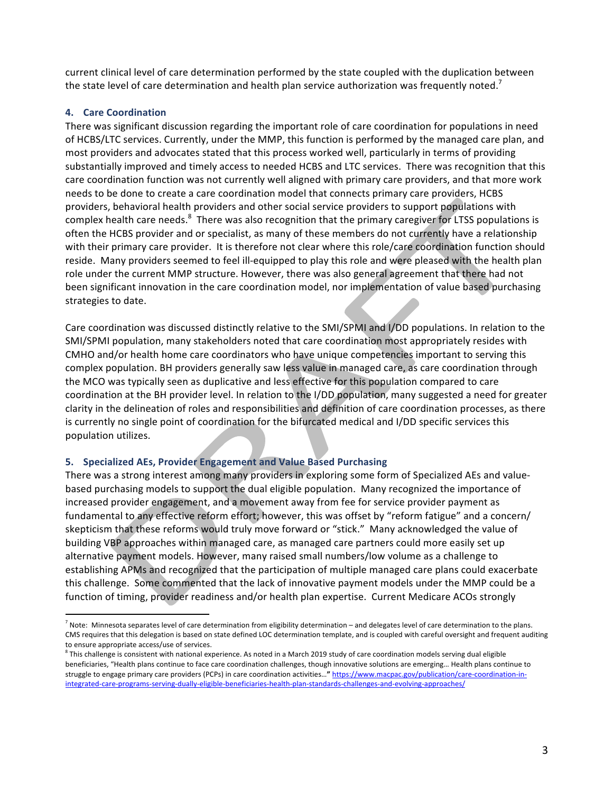current clinical level of care determination performed by the state coupled with the duplication between the state level of care determination and health plan service authorization was frequently noted.<sup>7</sup>

### **4. Care Coordination**

There was significant discussion regarding the important role of care coordination for populations in need of HCBS/LTC services. Currently, under the MMP, this function is performed by the managed care plan, and most providers and advocates stated that this process worked well, particularly in terms of providing substantially improved and timely access to needed HCBS and LTC services. There was recognition that this care coordination function was not currently well aligned with primary care providers, and that more work needs to be done to create a care coordination model that connects primary care providers, HCBS providers, behavioral health providers and other social service providers to support populations with complex health care needs.  $8$  There was also recognition that the primary caregiver for LTSS populations is often the HCBS provider and or specialist, as many of these members do not currently have a relationship with their primary care provider. It is therefore not clear where this role/care coordination function should reside. Many providers seemed to feel ill-equipped to play this role and were pleased with the health plan role under the current MMP structure. However, there was also general agreement that there had not been significant innovation in the care coordination model, nor implementation of value based purchasing strategies to date.

Care coordination was discussed distinctly relative to the SMI/SPMI and I/DD populations. In relation to the SMI/SPMI population, many stakeholders noted that care coordination most appropriately resides with CMHO and/or health home care coordinators who have unique competencies important to serving this complex population. BH providers generally saw less value in managed care, as care coordination through the MCO was typically seen as duplicative and less effective for this population compared to care coordination at the BH provider level. In relation to the I/DD population, many suggested a need for greater clarity in the delineation of roles and responsibilities and definition of care coordination processes, as there is currently no single point of coordination for the bifurcated medical and I/DD specific services this population utilizes.

#### **5. Specialized AEs, Provider Engagement and Value Based Purchasing**

 

There was a strong interest among many providers in exploring some form of Specialized AEs and valuebased purchasing models to support the dual eligible population. Many recognized the importance of increased provider engagement, and a movement away from fee for service provider payment as fundamental to any effective reform effort; however, this was offset by "reform fatigue" and a concern/ skepticism that these reforms would truly move forward or "stick." Many acknowledged the value of building VBP approaches within managed care, as managed care partners could more easily set up alternative payment models. However, many raised small numbers/low volume as a challenge to establishing APMs and recognized that the participation of multiple managed care plans could exacerbate this challenge. Some commented that the lack of innovative payment models under the MMP could be a function of timing, provider readiness and/or health plan expertise. Current Medicare ACOs strongly

 $^7$  Note: Minnesota separates level of care determination from eligibility determination – and delegates level of care determination to the plans. CMS requires that this delegation is based on state defined LOC determination template, and is coupled with careful oversight and frequent auditing to ensure appropriate access/use of services.

 $^8$  This challenge is consistent with national experience. As noted in a March 2019 study of care coordination models serving dual eligible beneficiaries, "Health plans continue to face care coordination challenges, though innovative solutions are emerging... Health plans continue to struggle to engage primary care providers (PCPs) in care coordination activities..." https://www.macpac.gov/publication/care-coordination-inintegrated-care-programs-serving-dually-eligible-beneficiaries-health-plan-standards-challenges-and-evolving-approaches/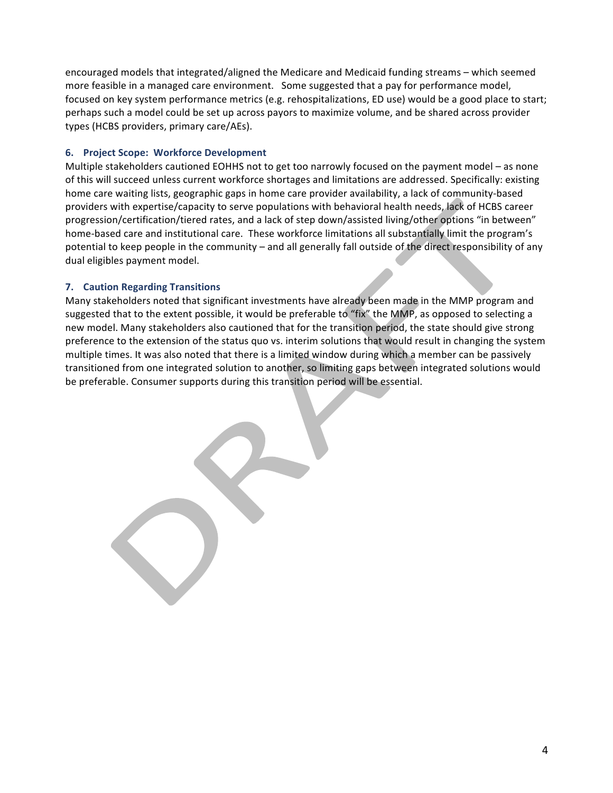encouraged models that integrated/aligned the Medicare and Medicaid funding streams – which seemed more feasible in a managed care environment. Some suggested that a pay for performance model, focused on key system performance metrics (e.g. rehospitalizations, ED use) would be a good place to start; perhaps such a model could be set up across payors to maximize volume, and be shared across provider types (HCBS providers, primary care/AEs).

#### **6. Project Scope: Workforce Development**

Multiple stakeholders cautioned EOHHS not to get too narrowly focused on the payment model – as none of this will succeed unless current workforce shortages and limitations are addressed. Specifically: existing home care waiting lists, geographic gaps in home care provider availability, a lack of community-based providers with expertise/capacity to serve populations with behavioral health needs, lack of HCBS career progression/certification/tiered rates, and a lack of step down/assisted living/other options "in between" home-based care and institutional care. These workforce limitations all substantially limit the program's potential to keep people in the community – and all generally fall outside of the direct responsibility of any dual eligibles payment model.

#### **7. Caution Regarding Transitions**

Many stakeholders noted that significant investments have already been made in the MMP program and suggested that to the extent possible, it would be preferable to "fix" the MMP, as opposed to selecting a new model. Many stakeholders also cautioned that for the transition period, the state should give strong preference to the extension of the status quo vs. interim solutions that would result in changing the system multiple times. It was also noted that there is a limited window during which a member can be passively transitioned from one integrated solution to another, so limiting gaps between integrated solutions would be preferable. Consumer supports during this transition period will be essential.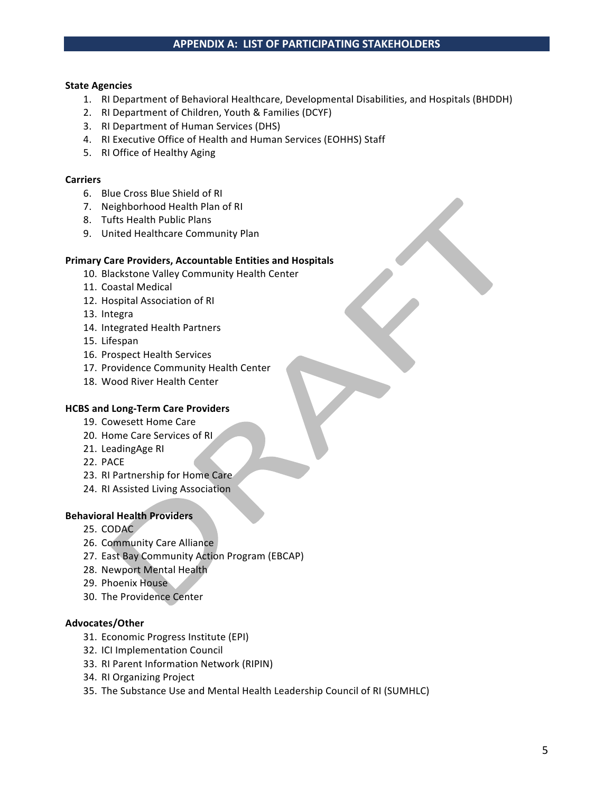#### **State Agencies**

- 1. RI Department of Behavioral Healthcare, Developmental Disabilities, and Hospitals (BHDDH)
- 2. RI Department of Children, Youth & Families (DCYF)
- 3. RI Department of Human Services (DHS)
- 4. RI Executive Office of Health and Human Services (EOHHS) Staff
- 5. RI Office of Healthy Aging

#### **Carriers**

- 6. Blue Cross Blue Shield of RI
- 7. Neighborhood Health Plan of RI
- 8. Tufts Health Public Plans
- 9. United Healthcare Community Plan

#### **Primary Care Providers, Accountable Entities and Hospitals**

- 10. Blackstone Valley Community Health Center
- 11. Coastal Medical
- 12. Hospital Association of RI
- 13. Integra
- 14. Integrated Health Partners
- 15. Lifespan
- 16. Prospect Health Services
- 17. Providence Community Health Center
- 18. Wood River Health Center

#### **HCBS and Long-Term Care Providers**

- 19. Cowesett Home Care
- 20. Home Care Services of RI
- 21. LeadingAge RI
- 22. PACE
- 23. RI Partnership for Home Care
- 24. RI Assisted Living Association

#### **Behavioral Health Providers**

- 25. CODAC
- 26. Community Care Alliance
- 27. East Bay Community Action Program (EBCAP)
- 28. Newport Mental Health
- 29. Phoenix House
- 30. The Providence Center

#### **Advocates/Other**

- 31. Economic Progress Institute (EPI)
- 32. ICI Implementation Council
- 33. RI Parent Information Network (RIPIN)
- 34. RI Organizing Project
- 35. The Substance Use and Mental Health Leadership Council of RI (SUMHLC)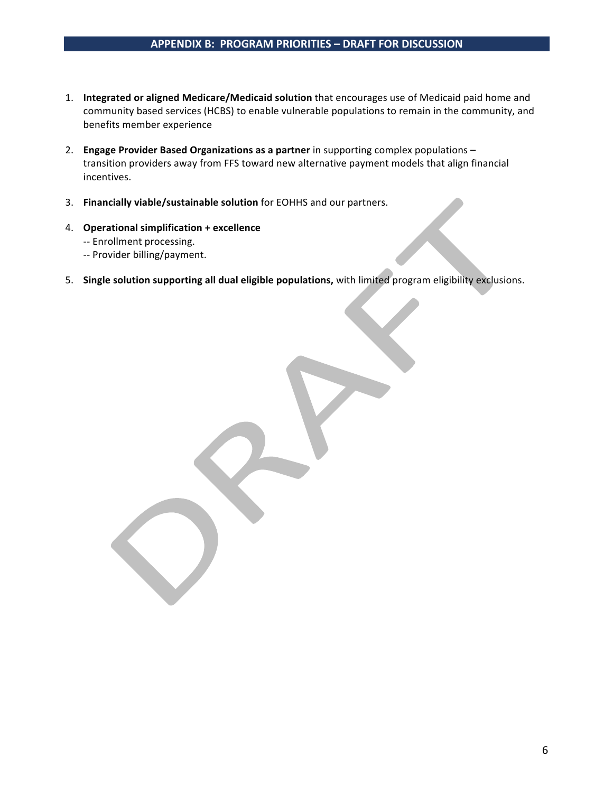# **APPENDIX B: PROGRAM PRIORITIES – DRAFT FOR DISCUSSION**

- 1. **Integrated or aligned Medicare/Medicaid solution** that encourages use of Medicaid paid home and community based services (HCBS) to enable vulnerable populations to remain in the community, and benefits member experience
- 2. **Engage Provider Based Organizations as a partner** in supporting complex populations transition providers away from FFS toward new alternative payment models that align financial incentives.
- 3. **Financially viable/sustainable solution** for EOHHS and our partners.
- 4. **Operational simplification + excellence** 
	- -- Enrollment processing.
	- -- Provider billing/payment.
- 5. Single solution supporting all dual eligible populations, with limited program eligibility exclusions.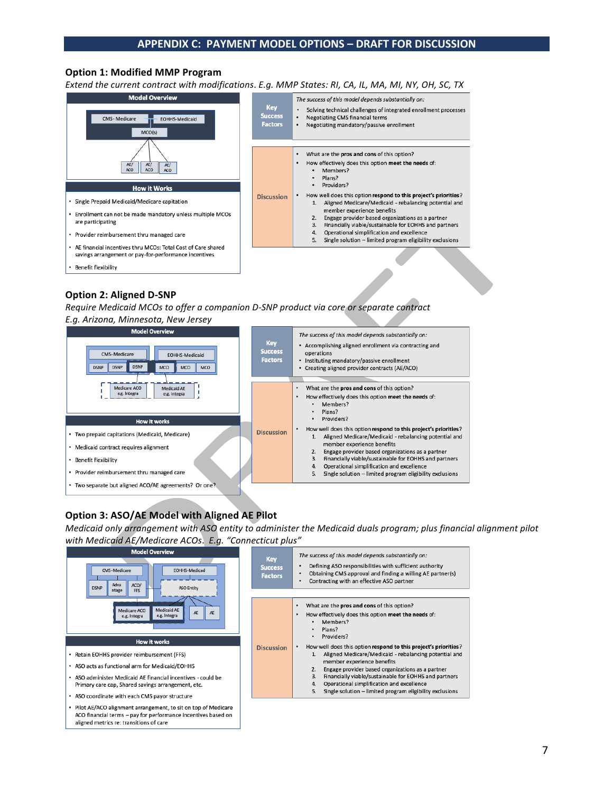#### **Option 1: Modified MMP Program**

*Extend the current contract with modifications*. *E.g. MMP States: RI, CA, IL, MA, MI, NY, OH, SC, TX*



# **Option 2: Aligned D-SNP**

Require Medicaid MCOs to offer a companion D-SNP product via core or separate contract

*E.g. Arizona, Minnesota, New Jersey*



# **Option 3: ASO/AE Model with Aligned AE Pilot**

ACO financial terms - pay for performance incentives based on

aligned metrics re: transitions of care

*Medicaid* only arrangement with ASO entity to administer the Medicaid duals program; plus financial alignment pilot with Medicaid AE/Medicare ACOs. E.g. "Connecticut plus"